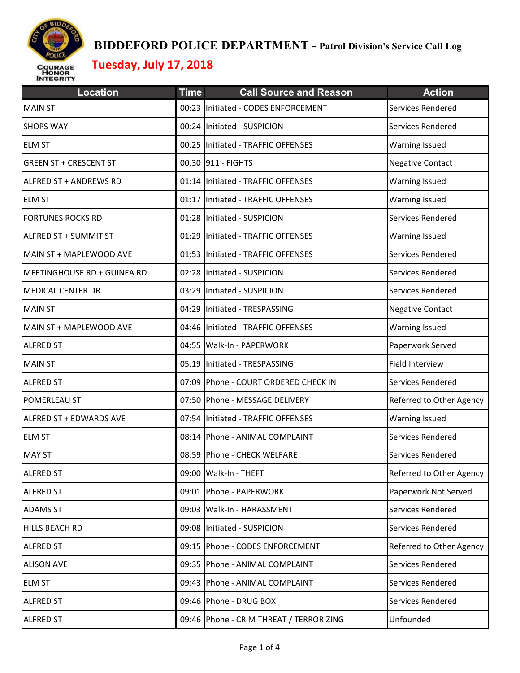

| <b>Location</b>               | <b>Time</b> | <b>Call Source and Reason</b>           | <b>Action</b>            |
|-------------------------------|-------------|-----------------------------------------|--------------------------|
| <b>MAIN ST</b>                |             | 00:23 Initiated - CODES ENFORCEMENT     | Services Rendered        |
| <b>SHOPS WAY</b>              |             | 00:24 Initiated - SUSPICION             | Services Rendered        |
| <b>ELM ST</b>                 |             | 00:25 Initiated - TRAFFIC OFFENSES      | <b>Warning Issued</b>    |
| <b>GREEN ST + CRESCENT ST</b> |             | 00:30 911 - FIGHTS                      | <b>Negative Contact</b>  |
| ALFRED ST + ANDREWS RD        |             | 01:14 Initiated - TRAFFIC OFFENSES      | <b>Warning Issued</b>    |
| <b>ELM ST</b>                 |             | 01:17 Initiated - TRAFFIC OFFENSES      | <b>Warning Issued</b>    |
| <b>FORTUNES ROCKS RD</b>      |             | 01:28 Initiated - SUSPICION             | Services Rendered        |
| ALFRED ST + SUMMIT ST         |             | 01:29 Initiated - TRAFFIC OFFENSES      | <b>Warning Issued</b>    |
| MAIN ST + MAPLEWOOD AVE       |             | 01:53 Initiated - TRAFFIC OFFENSES      | Services Rendered        |
| MEETINGHOUSE RD + GUINEA RD   |             | 02:28 Initiated - SUSPICION             | Services Rendered        |
| <b>MEDICAL CENTER DR</b>      |             | 03:29 Initiated - SUSPICION             | Services Rendered        |
| <b>MAIN ST</b>                |             | 04:29 Initiated - TRESPASSING           | <b>Negative Contact</b>  |
| MAIN ST + MAPLEWOOD AVE       |             | 04:46 Initiated - TRAFFIC OFFENSES      | <b>Warning Issued</b>    |
| <b>ALFRED ST</b>              |             | 04:55 Walk-In - PAPERWORK               | Paperwork Served         |
| <b>MAIN ST</b>                |             | 05:19 Initiated - TRESPASSING           | Field Interview          |
| <b>ALFRED ST</b>              |             | 07:09 Phone - COURT ORDERED CHECK IN    | Services Rendered        |
| POMERLEAU ST                  |             | 07:50 Phone - MESSAGE DELIVERY          | Referred to Other Agency |
| ALFRED ST + EDWARDS AVE       |             | 07:54 Initiated - TRAFFIC OFFENSES      | <b>Warning Issued</b>    |
| <b>ELM ST</b>                 |             | 08:14 Phone - ANIMAL COMPLAINT          | Services Rendered        |
| <b>MAY ST</b>                 |             | 08:59 Phone - CHECK WELFARE             | Services Rendered        |
| <b>ALFRED ST</b>              |             | 09:00 Walk-In - THEFT                   | Referred to Other Agency |
| <b>ALFRED ST</b>              |             | 09:01 Phone - PAPERWORK                 | Paperwork Not Served     |
| <b>ADAMS ST</b>               |             | 09:03 Walk-In - HARASSMENT              | Services Rendered        |
| HILLS BEACH RD                |             | 09:08 Initiated - SUSPICION             | Services Rendered        |
| <b>ALFRED ST</b>              |             | 09:15 Phone - CODES ENFORCEMENT         | Referred to Other Agency |
| <b>ALISON AVE</b>             |             | 09:35 Phone - ANIMAL COMPLAINT          | Services Rendered        |
| <b>ELM ST</b>                 |             | 09:43 Phone - ANIMAL COMPLAINT          | Services Rendered        |
| <b>ALFRED ST</b>              |             | 09:46 Phone - DRUG BOX                  | Services Rendered        |
| <b>ALFRED ST</b>              |             | 09:46 Phone - CRIM THREAT / TERRORIZING | Unfounded                |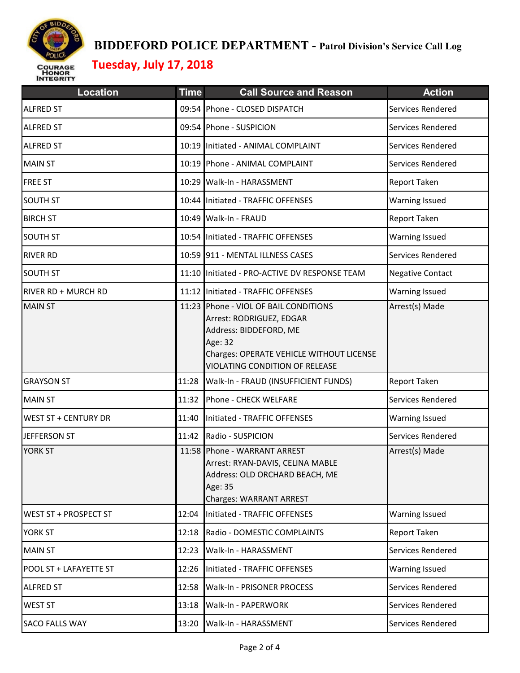

| <b>Location</b>             | <b>Time</b> | <b>Call Source and Reason</b>                                                                                                                                                        | <b>Action</b>           |
|-----------------------------|-------------|--------------------------------------------------------------------------------------------------------------------------------------------------------------------------------------|-------------------------|
| <b>ALFRED ST</b>            |             | 09:54 Phone - CLOSED DISPATCH                                                                                                                                                        | Services Rendered       |
| <b>ALFRED ST</b>            |             | 09:54 Phone - SUSPICION                                                                                                                                                              | Services Rendered       |
| <b>ALFRED ST</b>            |             | 10:19 Initiated - ANIMAL COMPLAINT                                                                                                                                                   | Services Rendered       |
| <b>MAIN ST</b>              |             | 10:19 Phone - ANIMAL COMPLAINT                                                                                                                                                       | Services Rendered       |
| <b>FREE ST</b>              |             | 10:29 Walk-In - HARASSMENT                                                                                                                                                           | Report Taken            |
| <b>SOUTH ST</b>             |             | 10:44 Initiated - TRAFFIC OFFENSES                                                                                                                                                   | <b>Warning Issued</b>   |
| <b>BIRCH ST</b>             |             | 10:49 Walk-In - FRAUD                                                                                                                                                                | Report Taken            |
| <b>SOUTH ST</b>             |             | 10:54 Initiated - TRAFFIC OFFENSES                                                                                                                                                   | <b>Warning Issued</b>   |
| <b>RIVER RD</b>             |             | 10:59 911 - MENTAL ILLNESS CASES                                                                                                                                                     | Services Rendered       |
| <b>SOUTH ST</b>             |             | 11:10 Initiated - PRO-ACTIVE DV RESPONSE TEAM                                                                                                                                        | <b>Negative Contact</b> |
| RIVER RD + MURCH RD         |             | 11:12 Initiated - TRAFFIC OFFENSES                                                                                                                                                   | <b>Warning Issued</b>   |
| <b>MAIN ST</b>              |             | 11:23 Phone - VIOL OF BAIL CONDITIONS<br>Arrest: RODRIGUEZ, EDGAR<br>Address: BIDDEFORD, ME<br>Age: 32<br>Charges: OPERATE VEHICLE WITHOUT LICENSE<br>VIOLATING CONDITION OF RELEASE | Arrest(s) Made          |
| <b>GRAYSON ST</b>           | 11:28       | Walk-In - FRAUD (INSUFFICIENT FUNDS)                                                                                                                                                 | Report Taken            |
| <b>MAIN ST</b>              | 11:32       | Phone - CHECK WELFARE                                                                                                                                                                | Services Rendered       |
| <b>WEST ST + CENTURY DR</b> | 11:40       | Initiated - TRAFFIC OFFENSES                                                                                                                                                         | <b>Warning Issued</b>   |
| JEFFERSON ST                | 11:42       | Radio - SUSPICION                                                                                                                                                                    | Services Rendered       |
| <b>YORK ST</b>              |             | 11:58 Phone - WARRANT ARREST<br>Arrest: RYAN-DAVIS, CELINA MABLE<br>Address: OLD ORCHARD BEACH, ME<br>Age: 35<br><b>Charges: WARRANT ARREST</b>                                      | Arrest(s) Made          |
| WEST ST + PROSPECT ST       | 12:04       | Initiated - TRAFFIC OFFENSES                                                                                                                                                         | <b>Warning Issued</b>   |
| <b>YORK ST</b>              | 12:18       | Radio - DOMESTIC COMPLAINTS                                                                                                                                                          | Report Taken            |
| <b>MAIN ST</b>              | 12:23       | Walk-In - HARASSMENT                                                                                                                                                                 | Services Rendered       |
| POOL ST + LAFAYETTE ST      | 12:26       | Initiated - TRAFFIC OFFENSES                                                                                                                                                         | <b>Warning Issued</b>   |
| <b>ALFRED ST</b>            | 12:58       | Walk-In - PRISONER PROCESS                                                                                                                                                           | Services Rendered       |
| WEST ST                     | 13:18       | Walk-In - PAPERWORK                                                                                                                                                                  | Services Rendered       |
| <b>SACO FALLS WAY</b>       | 13:20       | Walk-In - HARASSMENT                                                                                                                                                                 | Services Rendered       |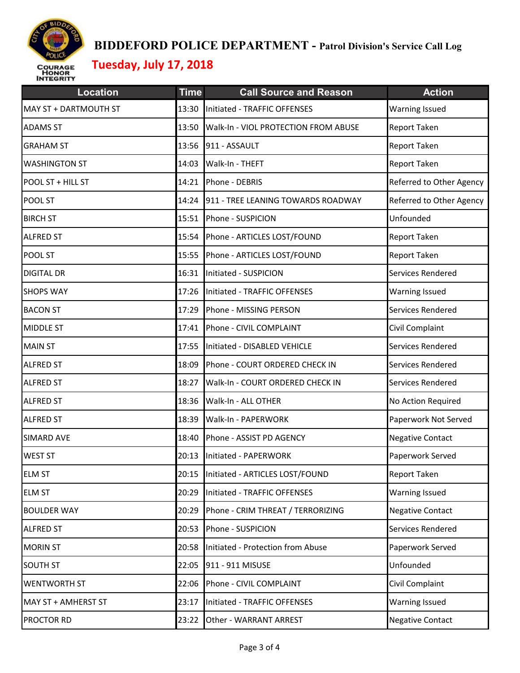

| <b>Location</b>       | <b>Time</b> | <b>Call Source and Reason</b>         | <b>Action</b>            |
|-----------------------|-------------|---------------------------------------|--------------------------|
| MAY ST + DARTMOUTH ST | 13:30       | Initiated - TRAFFIC OFFENSES          | <b>Warning Issued</b>    |
| <b>ADAMS ST</b>       | 13:50       | Walk-In - VIOL PROTECTION FROM ABUSE  | Report Taken             |
| <b>GRAHAM ST</b>      | 13:56       | 911 - ASSAULT                         | Report Taken             |
| <b>WASHINGTON ST</b>  | 14:03       | Walk-In - THEFT                       | Report Taken             |
| POOL ST + HILL ST     |             | 14:21 Phone - DEBRIS                  | Referred to Other Agency |
| POOL ST               | 14:24       | 911 - TREE LEANING TOWARDS ROADWAY    | Referred to Other Agency |
| <b>BIRCH ST</b>       | 15:51       | Phone - SUSPICION                     | Unfounded                |
| <b>ALFRED ST</b>      | 15:54       | Phone - ARTICLES LOST/FOUND           | Report Taken             |
| POOL ST               | 15:55       | Phone - ARTICLES LOST/FOUND           | Report Taken             |
| <b>DIGITAL DR</b>     |             | 16:31 Initiated - SUSPICION           | Services Rendered        |
| <b>SHOPS WAY</b>      |             | 17:26 Initiated - TRAFFIC OFFENSES    | <b>Warning Issued</b>    |
| <b>BACON ST</b>       | 17:29       | Phone - MISSING PERSON                | Services Rendered        |
| <b>MIDDLE ST</b>      |             | 17:41 Phone - CIVIL COMPLAINT         | Civil Complaint          |
| <b>MAIN ST</b>        | 17:55       | Initiated - DISABLED VEHICLE          | Services Rendered        |
| <b>ALFRED ST</b>      | 18:09       | Phone - COURT ORDERED CHECK IN        | Services Rendered        |
| <b>ALFRED ST</b>      | 18:27       | Walk-In - COURT ORDERED CHECK IN      | Services Rendered        |
| <b>ALFRED ST</b>      |             | 18:36 Walk-In - ALL OTHER             | No Action Required       |
| <b>ALFRED ST</b>      | 18:39       | Walk-In - PAPERWORK                   | Paperwork Not Served     |
| <b>SIMARD AVE</b>     | 18:40       | Phone - ASSIST PD AGENCY              | <b>Negative Contact</b>  |
| <b>WEST ST</b>        |             | 20:13 Initiated - PAPERWORK           | Paperwork Served         |
| <b>ELM ST</b>         |             | 20:15 Initiated - ARTICLES LOST/FOUND | <b>Report Taken</b>      |
| <b>ELM ST</b>         | 20:29       | Initiated - TRAFFIC OFFENSES          | Warning Issued           |
| <b>BOULDER WAY</b>    | 20:29       | Phone - CRIM THREAT / TERRORIZING     | <b>Negative Contact</b>  |
| <b>ALFRED ST</b>      | 20:53       | Phone - SUSPICION                     | Services Rendered        |
| <b>MORIN ST</b>       | 20:58       | Initiated - Protection from Abuse     | Paperwork Served         |
| <b>SOUTH ST</b>       | 22:05       | 911 - 911 MISUSE                      | Unfounded                |
| <b>WENTWORTH ST</b>   | 22:06       | Phone - CIVIL COMPLAINT               | Civil Complaint          |
| MAY ST + AMHERST ST   | 23:17       | Initiated - TRAFFIC OFFENSES          | Warning Issued           |
| <b>PROCTOR RD</b>     | 23:22       | Other - WARRANT ARREST                | <b>Negative Contact</b>  |